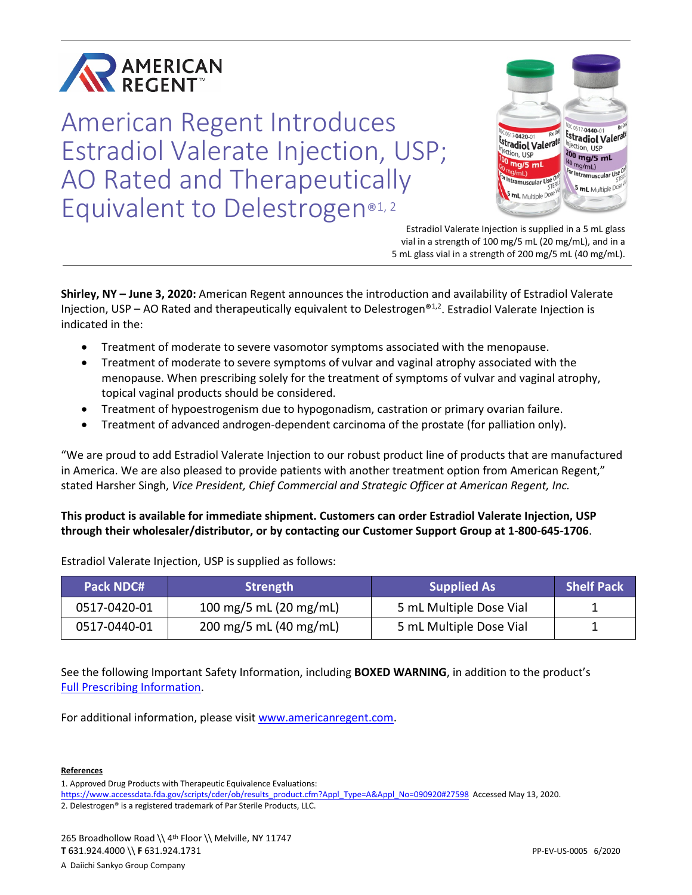

American Regent Introduces Estradiol Valerate Injection, USP; AO Rated and Therapeutically Equivalent to Delestrogen®1,2



Estradiol Valerate Injection is supplied in a 5 mL glass vial in a strength of 100 mg/5 mL (20 mg/mL), and in a 5 mL glass vial in a strength of 200 mg/5 mL (40 mg/mL).

**Shirley, NY – June 3, 2020:** American Regent announces the introduction and availability of Estradiol Valerate Injection, USP – AO Rated and therapeutically equivalent to Delestrogen<sup>®1,2</sup>. Estradiol Valerate Injection is indicated in the:

- Treatment of moderate to severe vasomotor symptoms associated with the menopause.
- Treatment of moderate to severe symptoms of vulvar and vaginal atrophy associated with the menopause. When prescribing solely for the treatment of symptoms of vulvar and vaginal atrophy, topical vaginal products should be considered.
- Treatment of hypoestrogenism due to hypogonadism, castration or primary ovarian failure.
- Treatment of advanced androgen-dependent carcinoma of the prostate (for palliation only).

"We are proud to add Estradiol Valerate Injection to our robust product line of products that are manufactured in America. We are also pleased to provide patients with another treatment option from American Regent," stated Harsher Singh, *Vice President, Chief Commercial and Strategic Officer at American Regent, Inc.*

## **This product is available for immediate shipment. Customers can order Estradiol Valerate Injection, USP through their wholesaler/distributor, or by contacting our Customer Support Group at 1-800-645-1706**.

| <b>Pack NDC#</b> | <b>Strength</b>        | <b>Supplied As</b>      | <b>Shelf Pack</b> |
|------------------|------------------------|-------------------------|-------------------|
| 0517-0420-01     | 100 mg/5 mL (20 mg/mL) | 5 mL Multiple Dose Vial |                   |
| 0517-0440-01     | 200 mg/5 mL (40 mg/mL) | 5 mL Multiple Dose Vial |                   |

Estradiol Valerate Injection, USP is supplied as follows:

See the following Important Safety Information, including **BOXED WARNING**, in addition to the product's [Full Prescribing Information.](https://americanregent.com/media/2929/ref-1453_estradiolvalerate_pi-insert_rev-nov2019_24mar2020.pdf)

For additional information, please visit [www.americanregent.com.](https://www.americanregent.com/)

#### **References**

<sup>1.</sup> Approved Drug Products with Therapeutic Equivalence Evaluations:

[https://www.accessdata.fda.gov/scripts/cder/ob/results\\_product.cfm?Appl\\_Type=A&Appl\\_No=090920#27598](https://www.accessdata.fda.gov/scripts/cder/ob/results_product.cfm?Appl_Type=A&Appl_No=090920#27598) Accessed May 13, 2020.

<sup>2.</sup> Delestrogen® is a registered trademark of Par Sterile Products, LLC.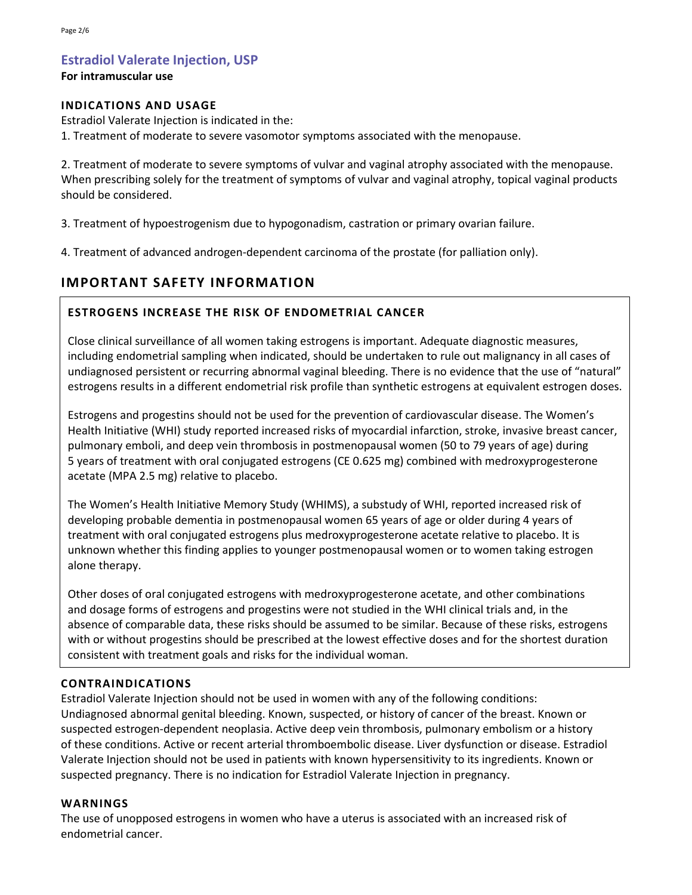# **Estradiol Valerate Injection, USP**

### **For intramuscular use**

### **INDICATIONS AND USAGE**

Estradiol Valerate Injection is indicated in the:

1. Treatment of moderate to severe vasomotor symptoms associated with the menopause.

2. Treatment of moderate to severe symptoms of vulvar and vaginal atrophy associated with the menopause. When prescribing solely for the treatment of symptoms of vulvar and vaginal atrophy, topical vaginal products should be considered.

3. Treatment of hypoestrogenism due to hypogonadism, castration or primary ovarian failure.

4. Treatment of advanced androgen-dependent carcinoma of the prostate (for palliation only).

# **IMPORTANT SAFETY INFORMATION**

## **ESTROGENS INCREASE THE RISK OF ENDOMETRIAL CANCER**

Close clinical surveillance of all women taking estrogens is important. Adequate diagnostic measures, including endometrial sampling when indicated, should be undertaken to rule out malignancy in all cases of undiagnosed persistent or recurring abnormal vaginal bleeding. There is no evidence that the use of "natural" estrogens results in a different endometrial risk profile than synthetic estrogens at equivalent estrogen doses.

Estrogens and progestins should not be used for the prevention of cardiovascular disease. The Women's Health Initiative (WHI) study reported increased risks of myocardial infarction, stroke, invasive breast cancer, pulmonary emboli, and deep vein thrombosis in postmenopausal women (50 to 79 years of age) during 5 years of treatment with oral conjugated estrogens (CE 0.625 mg) combined with medroxyprogesterone acetate (MPA 2.5 mg) relative to placebo.

The Women's Health Initiative Memory Study (WHIMS), a substudy of WHI, reported increased risk of developing probable dementia in postmenopausal women 65 years of age or older during 4 years of treatment with oral conjugated estrogens plus medroxyprogesterone acetate relative to placebo. It is unknown whether this finding applies to younger postmenopausal women or to women taking estrogen alone therapy.

Other doses of oral conjugated estrogens with medroxyprogesterone acetate, and other combinations and dosage forms of estrogens and progestins were not studied in the WHI clinical trials and, in the absence of comparable data, these risks should be assumed to be similar. Because of these risks, estrogens with or without progestins should be prescribed at the lowest effective doses and for the shortest duration consistent with treatment goals and risks for the individual woman.

### **CONTRAINDICATIONS**

Estradiol Valerate Injection should not be used in women with any of the following conditions: Undiagnosed abnormal genital bleeding. Known, suspected, or history of cancer of the breast. Known or suspected estrogen-dependent neoplasia. Active deep vein thrombosis, pulmonary embolism or a history of these conditions. Active or recent arterial thromboembolic disease. Liver dysfunction or disease. Estradiol Valerate Injection should not be used in patients with known hypersensitivity to its ingredients. Known or suspected pregnancy. There is no indication for Estradiol Valerate Injection in pregnancy.

### **WARNINGS**

The use of unopposed estrogens in women who have a uterus is associated with an increased risk of endometrial cancer.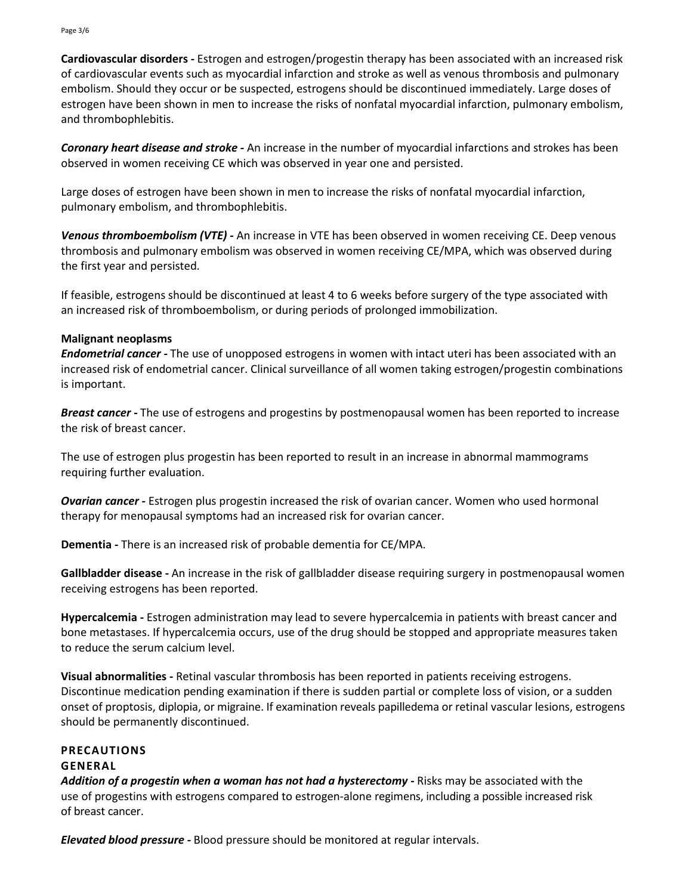**Cardiovascular disorders -** Estrogen and estrogen/progestin therapy has been associated with an increased risk of cardiovascular events such as myocardial infarction and stroke as well as venous thrombosis and pulmonary embolism. Should they occur or be suspected, estrogens should be discontinued immediately. Large doses of estrogen have been shown in men to increase the risks of nonfatal myocardial infarction, pulmonary embolism, and thrombophlebitis.

*Coronary heart disease and stroke -* An increase in the number of myocardial infarctions and strokes has been observed in women receiving CE which was observed in year one and persisted.

Large doses of estrogen have been shown in men to increase the risks of nonfatal myocardial infarction, pulmonary embolism, and thrombophlebitis.

*Venous thromboembolism (VTE) -* An increase in VTE has been observed in women receiving CE. Deep venous thrombosis and pulmonary embolism was observed in women receiving CE/MPA, which was observed during the first year and persisted.

If feasible, estrogens should be discontinued at least 4 to 6 weeks before surgery of the type associated with an increased risk of thromboembolism, or during periods of prolonged immobilization.

### **Malignant neoplasms**

*Endometrial cancer -* The use of unopposed estrogens in women with intact uteri has been associated with an increased risk of endometrial cancer. Clinical surveillance of all women taking estrogen/progestin combinations is important.

*Breast cancer -* The use of estrogens and progestins by postmenopausal women has been reported to increase the risk of breast cancer.

The use of estrogen plus progestin has been reported to result in an increase in abnormal mammograms requiring further evaluation.

*Ovarian cancer -* Estrogen plus progestin increased the risk of ovarian cancer. Women who used hormonal therapy for menopausal symptoms had an increased risk for ovarian cancer.

**Dementia -** There is an increased risk of probable dementia for CE/MPA.

**Gallbladder disease -** An increase in the risk of gallbladder disease requiring surgery in postmenopausal women receiving estrogens has been reported.

**Hypercalcemia -** Estrogen administration may lead to severe hypercalcemia in patients with breast cancer and bone metastases. If hypercalcemia occurs, use of the drug should be stopped and appropriate measures taken to reduce the serum calcium level.

**Visual abnormalities -** Retinal vascular thrombosis has been reported in patients receiving estrogens. Discontinue medication pending examination if there is sudden partial or complete loss of vision, or a sudden onset of proptosis, diplopia, or migraine. If examination reveals papilledema or retinal vascular lesions, estrogens should be permanently discontinued.

## **PRECAUTIONS**

### **GENERAL**

*Addition of a progestin when a woman has not had a hysterectomy -* Risks may be associated with the use of progestins with estrogens compared to estrogen-alone regimens, including a possible increased risk of breast cancer.

*Elevated blood pressure -* Blood pressure should be monitored at regular intervals.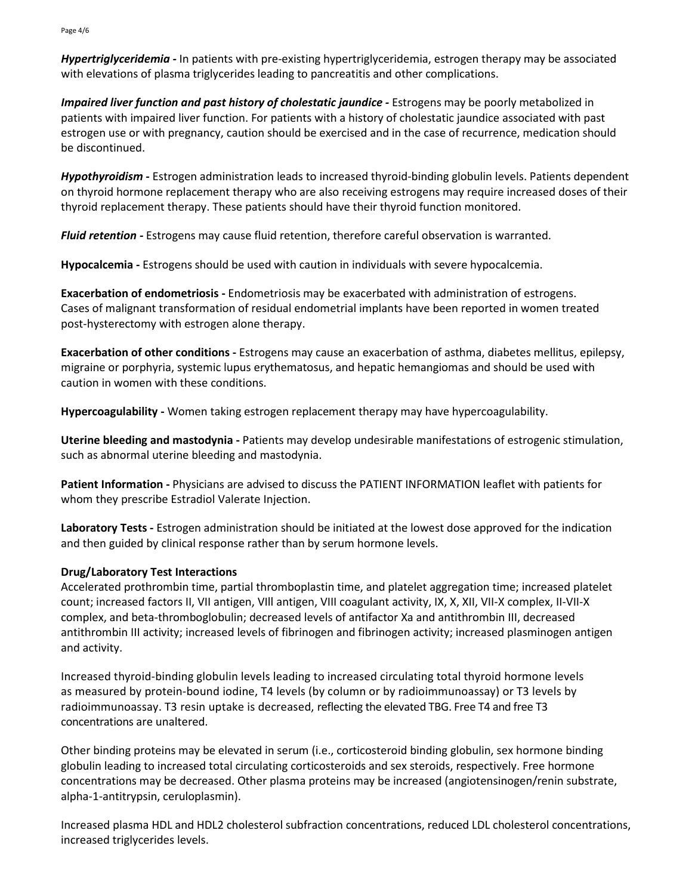*Hypertriglyceridemia -* In patients with pre-existing hypertriglyceridemia, estrogen therapy may be associated with elevations of plasma triglycerides leading to pancreatitis and other complications.

*Impaired liver function and past history of cholestatic jaundice -* Estrogens may be poorly metabolized in patients with impaired liver function. For patients with a history of cholestatic jaundice associated with past estrogen use or with pregnancy, caution should be exercised and in the case of recurrence, medication should be discontinued.

*Hypothyroidism -* Estrogen administration leads to increased thyroid-binding globulin levels. Patients dependent on thyroid hormone replacement therapy who are also receiving estrogens may require increased doses of their thyroid replacement therapy. These patients should have their thyroid function monitored.

*Fluid retention -* Estrogens may cause fluid retention, therefore careful observation is warranted.

**Hypocalcemia -** Estrogens should be used with caution in individuals with severe hypocalcemia.

**Exacerbation of endometriosis -** Endometriosis may be exacerbated with administration of estrogens. Cases of malignant transformation of residual endometrial implants have been reported in women treated post-hysterectomy with estrogen alone therapy.

**Exacerbation of other conditions -** Estrogens may cause an exacerbation of asthma, diabetes mellitus, epilepsy, migraine or porphyria, systemic lupus erythematosus, and hepatic hemangiomas and should be used with caution in women with these conditions.

**Hypercoagulability -** Women taking estrogen replacement therapy may have hypercoagulability.

**Uterine bleeding and mastodynia -** Patients may develop undesirable manifestations of estrogenic stimulation, such as abnormal uterine bleeding and mastodynia.

**Patient Information -** Physicians are advised to discuss the PATIENT INFORMATION leaflet with patients for whom they prescribe Estradiol Valerate Injection.

**Laboratory Tests -** Estrogen administration should be initiated at the lowest dose approved for the indication and then guided by clinical response rather than by serum hormone levels.

## **Drug/Laboratory Test Interactions**

Accelerated prothrombin time, partial thromboplastin time, and platelet aggregation time; increased platelet count; increased factors II, VII antigen, VIll antigen, VIII coagulant activity, IX, X, XII, VII-X complex, II-VII-X complex, and beta-thromboglobulin; decreased levels of antifactor Xa and antithrombin III, decreased antithrombin III activity; increased levels of fibrinogen and fibrinogen activity; increased plasminogen antigen and activity.

Increased thyroid-binding globulin levels leading to increased circulating total thyroid hormone levels as measured by protein-bound iodine, T4 levels (by column or by radioimmunoassay) or T3 levels by radioimmunoassay. T3 resin uptake is decreased, reflecting the elevated TBG. Free T4 and free T3 concentrations are unaltered.

Other binding proteins may be elevated in serum (i.e., corticosteroid binding globulin, sex hormone binding globulin leading to increased total circulating corticosteroids and sex steroids, respectively. Free hormone concentrations may be decreased. Other plasma proteins may be increased (angiotensinogen/renin substrate, alpha-1-antitrypsin, ceruloplasmin).

Increased plasma HDL and HDL2 cholesterol subfraction concentrations, reduced LDL cholesterol concentrations, increased triglycerides levels.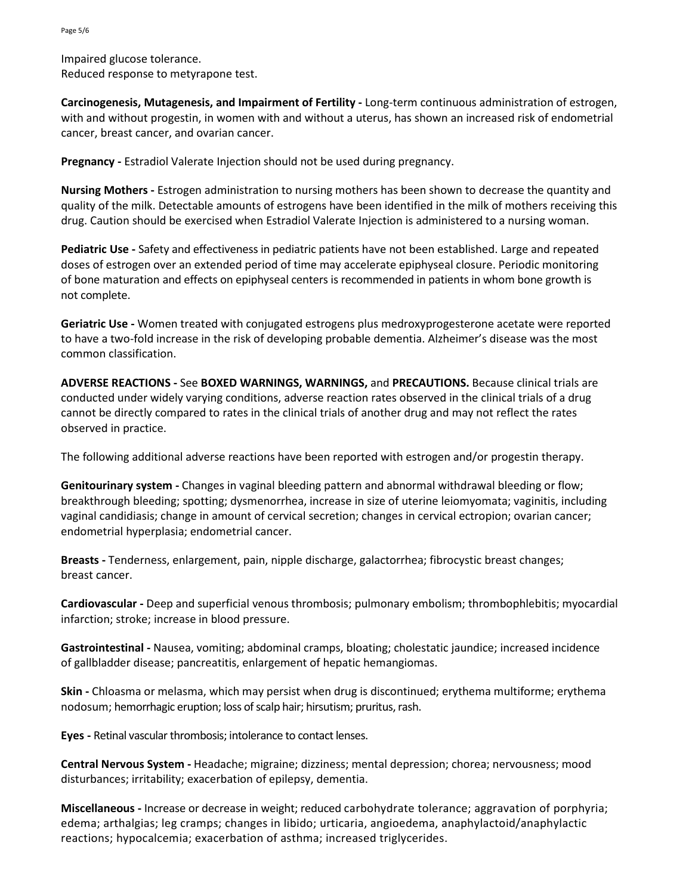Impaired glucose tolerance. Reduced response to metyrapone test.

**Carcinogenesis, Mutagenesis, and Impairment of Fertility -** Long-term continuous administration of estrogen, with and without progestin, in women with and without a uterus, has shown an increased risk of endometrial cancer, breast cancer, and ovarian cancer.

**Pregnancy -** Estradiol Valerate Injection should not be used during pregnancy.

**Nursing Mothers -** Estrogen administration to nursing mothers has been shown to decrease the quantity and quality of the milk. Detectable amounts of estrogens have been identified in the milk of mothers receiving this drug. Caution should be exercised when Estradiol Valerate Injection is administered to a nursing woman.

**Pediatric Use -** Safety and effectiveness in pediatric patients have not been established. Large and repeated doses of estrogen over an extended period of time may accelerate epiphyseal closure. Periodic monitoring of bone maturation and effects on epiphyseal centers is recommended in patients in whom bone growth is not complete.

**Geriatric Use -** Women treated with conjugated estrogens plus medroxyprogesterone acetate were reported to have a two-fold increase in the risk of developing probable dementia. Alzheimer's disease was the most common classification.

**ADVERSE REACTIONS -** See **BOXED WARNINGS, WARNINGS,** and **PRECAUTIONS.** Because clinical trials are conducted under widely varying conditions, adverse reaction rates observed in the clinical trials of a drug cannot be directly compared to rates in the clinical trials of another drug and may not reflect the rates observed in practice.

The following additional adverse reactions have been reported with estrogen and/or progestin therapy.

**Genitourinary system -** Changes in vaginal bleeding pattern and abnormal withdrawal bleeding or flow; breakthrough bleeding; spotting; dysmenorrhea, increase in size of uterine leiomyomata; vaginitis, including vaginal candidiasis; change in amount of cervical secretion; changes in cervical ectropion; ovarian cancer; endometrial hyperplasia; endometrial cancer.

**Breasts -** Tenderness, enlargement, pain, nipple discharge, galactorrhea; fibrocystic breast changes; breast cancer.

**Cardiovascular -** Deep and superficial venous thrombosis; pulmonary embolism; thrombophlebitis; myocardial infarction; stroke; increase in blood pressure.

**Gastrointestinal -** Nausea, vomiting; abdominal cramps, bloating; cholestatic jaundice; increased incidence of gallbladder disease; pancreatitis, enlargement of hepatic hemangiomas.

**Skin -** Chloasma or melasma, which may persist when drug is discontinued; erythema multiforme; erythema nodosum; hemorrhagic eruption; loss of scalp hair; hirsutism; pruritus, rash.

**Eyes -** Retinal vascular thrombosis; intolerance to contact lenses.

**Central Nervous System -** Headache; migraine; dizziness; mental depression; chorea; nervousness; mood disturbances; irritability; exacerbation of epilepsy, dementia.

**Miscellaneous -** Increase or decrease in weight; reduced carbohydrate tolerance; aggravation of porphyria; edema; arthalgias; leg cramps; changes in libido; urticaria, angioedema, anaphylactoid/anaphylactic reactions; hypocalcemia; exacerbation of asthma; increased triglycerides.